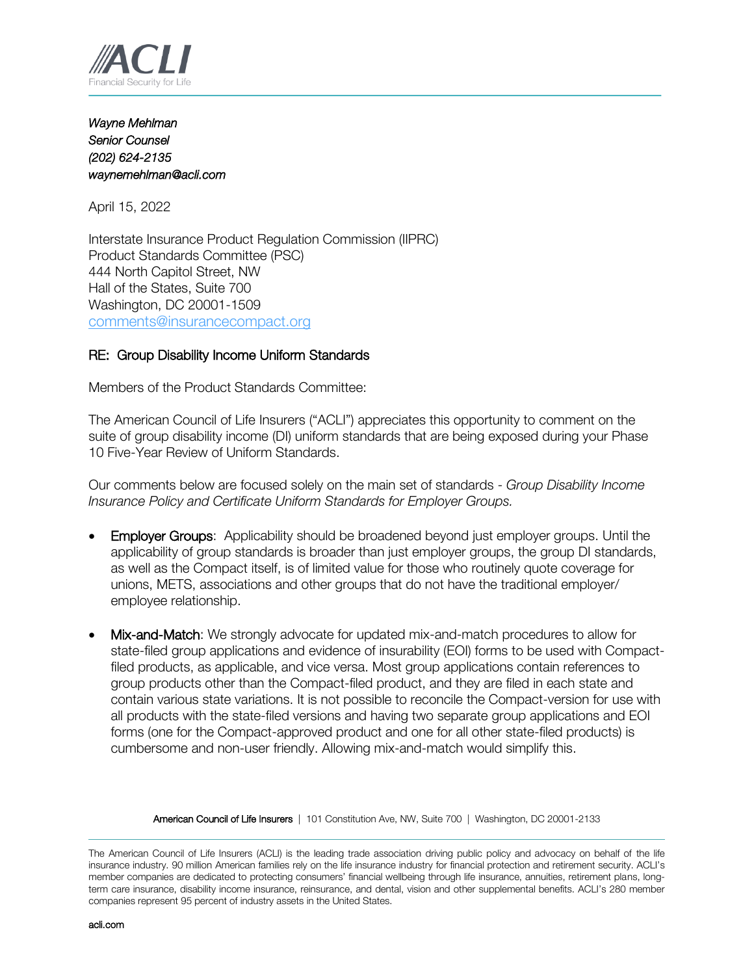

*Wayne Mehlman Senior Counsel (202) 624-2135 waynemehlman@acli.com* 

April 15, 2022

Interstate Insurance Product Regulation Commission (IIPRC) Product Standards Committee (PSC) 444 North Capitol Street, NW Hall of the States, Suite 700 Washington, DC 20001-1509 [comments@insurancecompact.org](mailto:comments@insurancecompact.org)

## RE: Group Disability Income Uniform Standards

Members of the Product Standards Committee:

The American Council of Life Insurers ("ACLI") appreciates this opportunity to comment on the suite of group disability income (DI) uniform standards that are being exposed during your Phase 10 Five-Year Review of Uniform Standards.

Our comments below are focused solely on the main set of standards - *Group Disability Income Insurance Policy and Certificate Uniform Standards for Employer Groups.*

- Employer Groups: Applicability should be broadened beyond just employer groups. Until the applicability of group standards is broader than just employer groups, the group DI standards, as well as the Compact itself, is of limited value for those who routinely quote coverage for unions, METS, associations and other groups that do not have the traditional employer/ employee relationship.
- Mix-and-Match: We strongly advocate for updated mix-and-match procedures to allow for state-filed group applications and evidence of insurability (EOI) forms to be used with Compactfiled products, as applicable, and vice versa. Most group applications contain references to group products other than the Compact-filed product, and they are filed in each state and contain various state variations. It is not possible to reconcile the Compact-version for use with all products with the state-filed versions and having two separate group applications and EOI forms (one for the Compact-approved product and one for all other state-filed products) is cumbersome and non-user friendly. Allowing mix-and-match would simplify this.

American Council of Life Insurers | 101 Constitution Ave, NW, Suite 700 | Washington, DC 20001-2133

The American Council of Life Insurers (ACLI) is the leading trade association driving public policy and advocacy on behalf of the life insurance industry. 90 million American families rely on the life insurance industry for financial protection and retirement security. ACLI's member companies are dedicated to protecting consumers' financial wellbeing through life insurance, annuities, retirement plans, longterm care insurance, disability income insurance, reinsurance, and dental, vision and other supplemental benefits. ACLI's 280 member companies represent 95 percent of industry assets in the United States.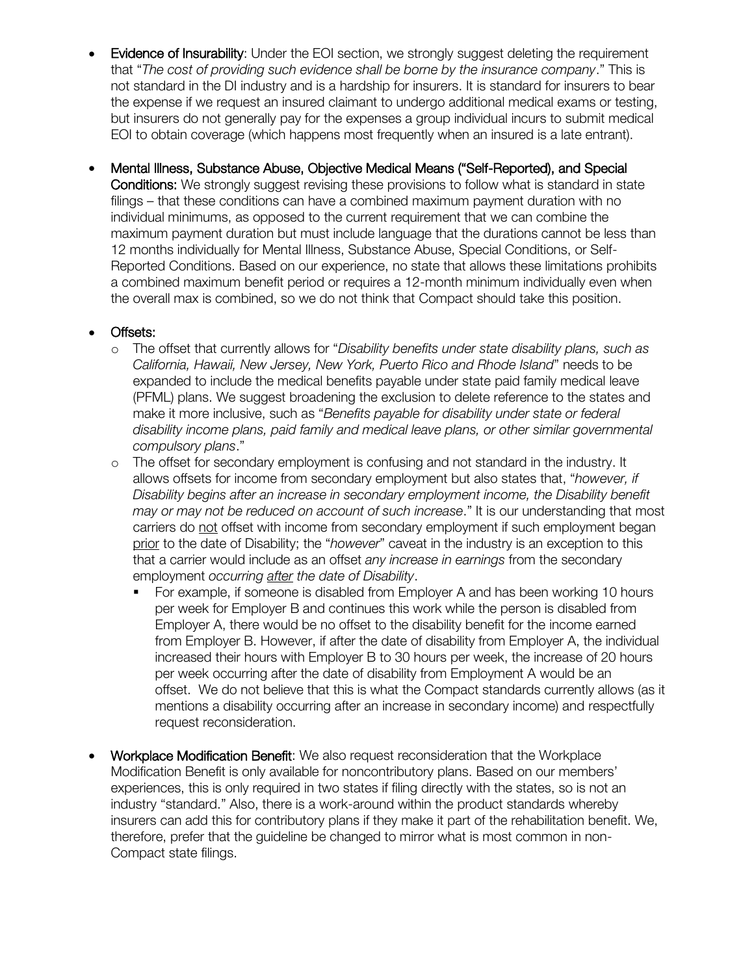- Evidence of Insurability: Under the EOI section, we strongly suggest deleting the requirement that "*The cost of providing such evidence shall be borne by the insurance company*." This is not standard in the DI industry and is a hardship for insurers. It is standard for insurers to bear the expense if we request an insured claimant to undergo additional medical exams or testing, but insurers do not generally pay for the expenses a group individual incurs to submit medical EOI to obtain coverage (which happens most frequently when an insured is a late entrant).
- Mental Illness, Substance Abuse, Objective Medical Means ("Self-Reported), and Special Conditions: We strongly suggest revising these provisions to follow what is standard in state filings – that these conditions can have a combined maximum payment duration with no individual minimums, as opposed to the current requirement that we can combine the maximum payment duration but must include language that the durations cannot be less than 12 months individually for Mental Illness, Substance Abuse, Special Conditions, or Self-Reported Conditions. Based on our experience, no state that allows these limitations prohibits a combined maximum benefit period or requires a 12-month minimum individually even when the overall max is combined, so we do not think that Compact should take this position.

## • Offsets:

- o The offset that currently allows for "*Disability benefits under state disability plans, such as California, Hawaii, New Jersey, New York, Puerto Rico and Rhode Island*" needs to be expanded to include the medical benefits payable under state paid family medical leave (PFML) plans. We suggest broadening the exclusion to delete reference to the states and make it more inclusive, such as "*Benefits payable for disability under state or federal disability income plans, paid family and medical leave plans, or other similar governmental compulsory plans*."
- o The offset for secondary employment is confusing and not standard in the industry. It allows offsets for income from secondary employment but also states that, "*however, if Disability begins after an increase in secondary employment income, the Disability benefit may or may not be reduced on account of such increase*." It is our understanding that most carriers do not offset with income from secondary employment if such employment began prior to the date of Disability; the "*however*" caveat in the industry is an exception to this that a carrier would include as an offset *any increase in earnings* from the secondary employment *occurring after the date of Disability*.
	- For example, if someone is disabled from Employer A and has been working 10 hours per week for Employer B and continues this work while the person is disabled from Employer A, there would be no offset to the disability benefit for the income earned from Employer B. However, if after the date of disability from Employer A, the individual increased their hours with Employer B to 30 hours per week, the increase of 20 hours per week occurring after the date of disability from Employment A would be an offset. We do not believe that this is what the Compact standards currently allows (as it mentions a disability occurring after an increase in secondary income) and respectfully request reconsideration.
- Workplace Modification Benefit: We also request reconsideration that the Workplace Modification Benefit is only available for noncontributory plans. Based on our members' experiences, this is only required in two states if filing directly with the states, so is not an industry "standard." Also, there is a work-around within the product standards whereby insurers can add this for contributory plans if they make it part of the rehabilitation benefit. We, therefore, prefer that the guideline be changed to mirror what is most common in non-Compact state filings.